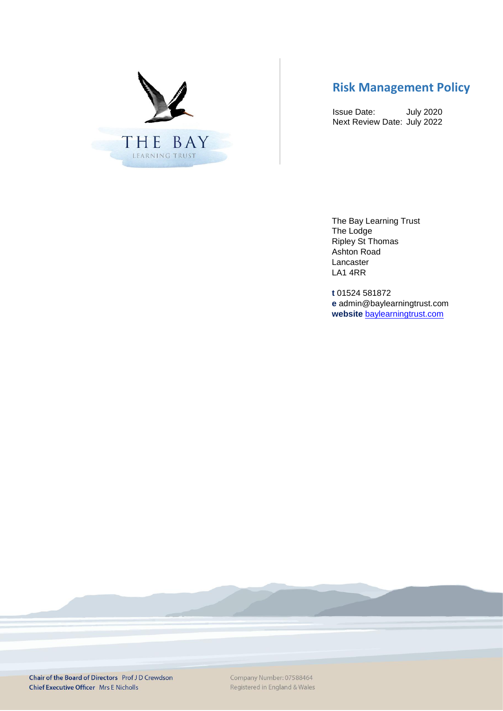

# **Risk Management Policy**

Issue Date: July 2020 Next Review Date: July 2022

The Bay Learning Trust The Lodge Ripley St Thomas Ashton Road Lancaster LA1 4RR

**t** 01524 581872 **e** admin@baylearningtrust.com **website** [baylearningtrust.com](http://www.ripleystthomas.com/)

Chair of the Board of Directors Prof J D Crewdson **Chief Executive Officer Mrs E Nicholls** 

Company Number: 07588464 Registered in England & Wales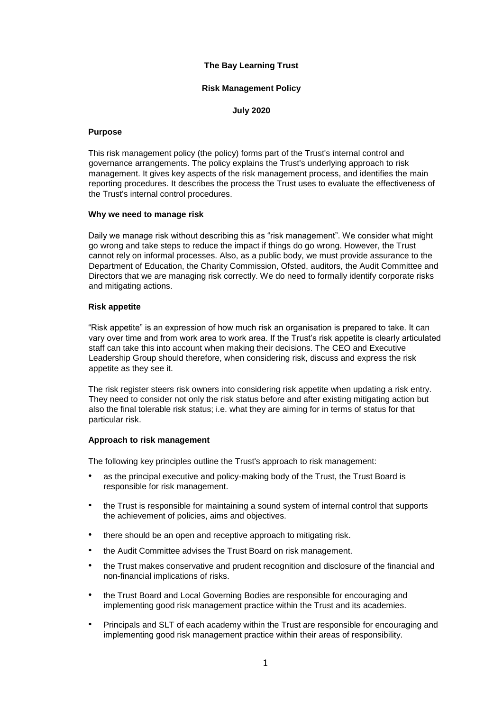# **The Bay Learning Trust**

# **Risk Management Policy**

**July 2020**

#### **Purpose**

This risk management policy (the policy) forms part of the Trust's internal control and governance arrangements. The policy explains the Trust's underlying approach to risk management. It gives key aspects of the risk management process, and identifies the main reporting procedures. It describes the process the Trust uses to evaluate the effectiveness of the Trust's internal control procedures.

#### **Why we need to manage risk**

Daily we manage risk without describing this as "risk management". We consider what might go wrong and take steps to reduce the impact if things do go wrong. However, the Trust cannot rely on informal processes. Also, as a public body, we must provide assurance to the Department of Education, the Charity Commission, Ofsted, auditors, the Audit Committee and Directors that we are managing risk correctly. We do need to formally identify corporate risks and mitigating actions.

#### **Risk appetite**

"Risk appetite" is an expression of how much risk an organisation is prepared to take. It can vary over time and from work area to work area. If the Trust's risk appetite is clearly articulated staff can take this into account when making their decisions. The CEO and Executive Leadership Group should therefore, when considering risk, discuss and express the risk appetite as they see it.

The risk register steers risk owners into considering risk appetite when updating a risk entry. They need to consider not only the risk status before and after existing mitigating action but also the final tolerable risk status; i.e. what they are aiming for in terms of status for that particular risk.

## **Approach to risk management**

The following key principles outline the Trust's approach to risk management:

- as the principal executive and policy-making body of the Trust, the Trust Board is responsible for risk management.
- the Trust is responsible for maintaining a sound system of internal control that supports the achievement of policies, aims and objectives.
- there should be an open and receptive approach to mitigating risk.
- the Audit Committee advises the Trust Board on risk management.
- the Trust makes conservative and prudent recognition and disclosure of the financial and non-financial implications of risks.
- the Trust Board and Local Governing Bodies are responsible for encouraging and implementing good risk management practice within the Trust and its academies.
- Principals and SLT of each academy within the Trust are responsible for encouraging and implementing good risk management practice within their areas of responsibility.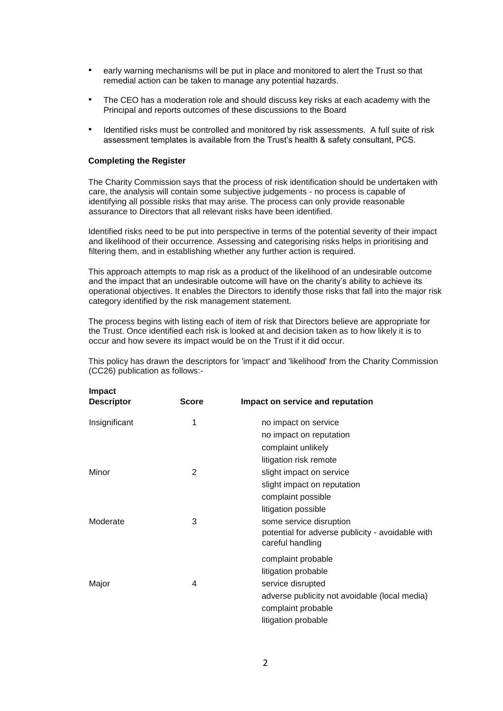- early warning mechanisms will be put in place and monitored to alert the Trust so that remedial action can be taken to manage any potential hazards.
- The CEO has a moderation role and should discuss key risks at each academy with the Principal and reports outcomes of these discussions to the Board
- Identified risks must be controlled and monitored by risk assessments. A full suite of risk assessment templates is available from the Trust's health & safety consultant, PCS.

## **Completing the Register**

The Charity Commission says that the process of risk identification should be undertaken with care, the analysis will contain some subjective judgements - no process is capable of identifying all possible risks that may arise. The process can only provide reasonable assurance to Directors that all relevant risks have been identified.

Identified risks need to be put into perspective in terms of the potential severity of their impact and likelihood of their occurrence. Assessing and categorising risks helps in prioritising and filtering them, and in establishing whether any further action is required.

This approach attempts to map risk as a product of the likelihood of an undesirable outcome and the impact that an undesirable outcome will have on the charity's ability to achieve its operational objectives. It enables the Directors to identify those risks that fall into the major risk category identified by the risk management statement.

The process begins with listing each of item of risk that Directors believe are appropriate for the Trust. Once identified each risk is looked at and decision taken as to how likely it is to occur and how severe its impact would be on the Trust if it did occur.

| <b>Score</b> | Impact on service and reputation                                     |
|--------------|----------------------------------------------------------------------|
| 1            | no impact on service                                                 |
|              | no impact on reputation                                              |
|              | complaint unlikely                                                   |
|              | litigation risk remote                                               |
| 2            | slight impact on service                                             |
|              | slight impact on reputation                                          |
|              | complaint possible                                                   |
|              | litigation possible                                                  |
| 3            | some service disruption                                              |
|              | potential for adverse publicity - avoidable with<br>careful handling |
|              | complaint probable                                                   |
|              | litigation probable                                                  |
| 4            | service disrupted                                                    |
|              | adverse publicity not avoidable (local media)                        |
|              | complaint probable                                                   |
|              | litigation probable                                                  |
|              |                                                                      |

This policy has drawn the descriptors for 'impact' and 'likelihood' from the Charity Commission (CC26) publication as follows:-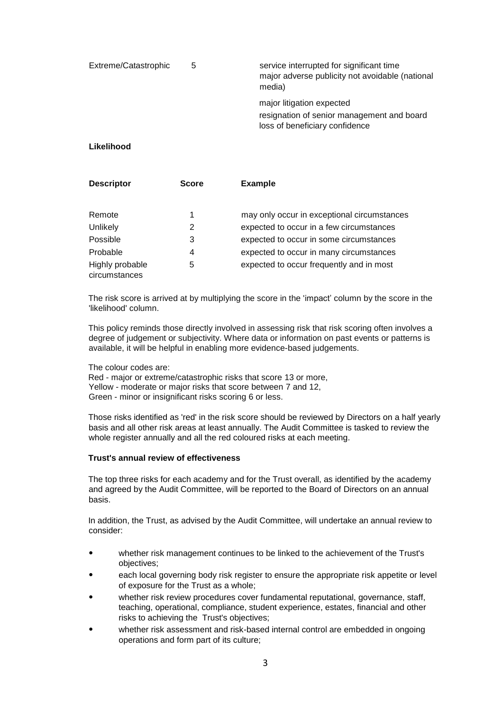| Extreme/Catastrophic | 5 | service interrupted for significant time<br>major adverse publicity not avoidable (national<br>media)     |
|----------------------|---|-----------------------------------------------------------------------------------------------------------|
|                      |   | major litigation expected<br>resignation of senior management and board<br>loss of beneficiary confidence |

# **Likelihood**

| <b>Descriptor</b>                | <b>Score</b> | <b>Example</b>                              |
|----------------------------------|--------------|---------------------------------------------|
| Remote                           | 1            | may only occur in exceptional circumstances |
| Unlikely                         | 2            | expected to occur in a few circumstances    |
| Possible                         | 3            | expected to occur in some circumstances     |
| Probable                         | 4            | expected to occur in many circumstances     |
| Highly probable<br>circumstances | 5            | expected to occur frequently and in most    |

The risk score is arrived at by multiplying the score in the 'impact' column by the score in the 'likelihood' column.

This policy reminds those directly involved in assessing risk that risk scoring often involves a degree of judgement or subjectivity. Where data or information on past events or patterns is available, it will be helpful in enabling more evidence-based judgements.

The colour codes are:

Red - major or extreme/catastrophic risks that score 13 or more, Yellow - moderate or major risks that score between 7 and 12, Green - minor or insignificant risks scoring 6 or less.

Those risks identified as 'red' in the risk score should be reviewed by Directors on a half yearly basis and all other risk areas at least annually. The Audit Committee is tasked to review the whole register annually and all the red coloured risks at each meeting.

# **Trust's annual review of effectiveness**

The top three risks for each academy and for the Trust overall, as identified by the academy and agreed by the Audit Committee, will be reported to the Board of Directors on an annual basis.

In addition, the Trust, as advised by the Audit Committee, will undertake an annual review to consider:

- whether risk management continues to be linked to the achievement of the Trust's objectives;
- each local governing body risk register to ensure the appropriate risk appetite or level of exposure for the Trust as a whole;
- whether risk review procedures cover fundamental reputational, governance, staff, teaching, operational, compliance, student experience, estates, financial and other risks to achieving the Trust's objectives;
- whether risk assessment and risk-based internal control are embedded in ongoing operations and form part of its culture;